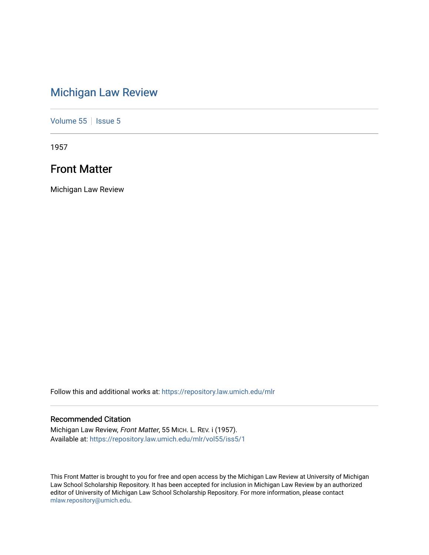### [Michigan Law Review](https://repository.law.umich.edu/mlr)

[Volume 55](https://repository.law.umich.edu/mlr/vol55) | [Issue 5](https://repository.law.umich.edu/mlr/vol55/iss5)

1957

### Front Matter

Michigan Law Review

Follow this and additional works at: [https://repository.law.umich.edu/mlr](https://repository.law.umich.edu/mlr?utm_source=repository.law.umich.edu%2Fmlr%2Fvol55%2Fiss5%2F1&utm_medium=PDF&utm_campaign=PDFCoverPages) 

### Recommended Citation

Michigan Law Review, Front Matter, 55 MICH. L. REV. i (1957). Available at: [https://repository.law.umich.edu/mlr/vol55/iss5/1](https://repository.law.umich.edu/mlr/vol55/iss5/1?utm_source=repository.law.umich.edu%2Fmlr%2Fvol55%2Fiss5%2F1&utm_medium=PDF&utm_campaign=PDFCoverPages)

This Front Matter is brought to you for free and open access by the Michigan Law Review at University of Michigan Law School Scholarship Repository. It has been accepted for inclusion in Michigan Law Review by an authorized editor of University of Michigan Law School Scholarship Repository. For more information, please contact [mlaw.repository@umich.edu.](mailto:mlaw.repository@umich.edu)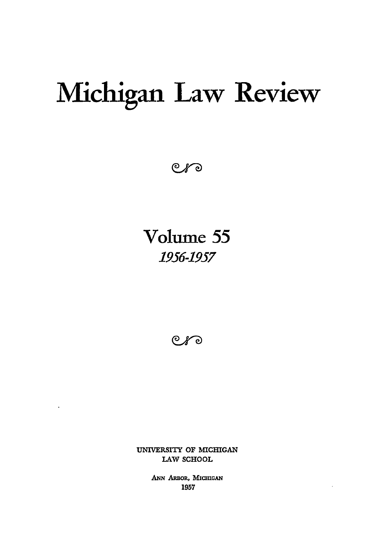# **Michigan Law Review**

 $C$ *f* 

**Volume 55 1956-1957**

 $C$ *f* 

UNIVERSITY OF **MICHIGAN** LAW **SCHOOL**

 $\ddot{\phantom{1}}$ 

**ANN ARBOR,** MICmGAN **1957**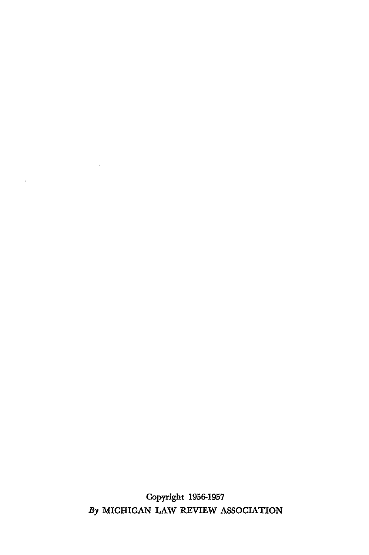Copyright **1956-1957** *By* MICHIGAN LAW REVIEW ASSOCIATION

 $\mathcal{A}$ 

 $\mathbf{r} = \mathbf{r} \times \mathbf{r}$